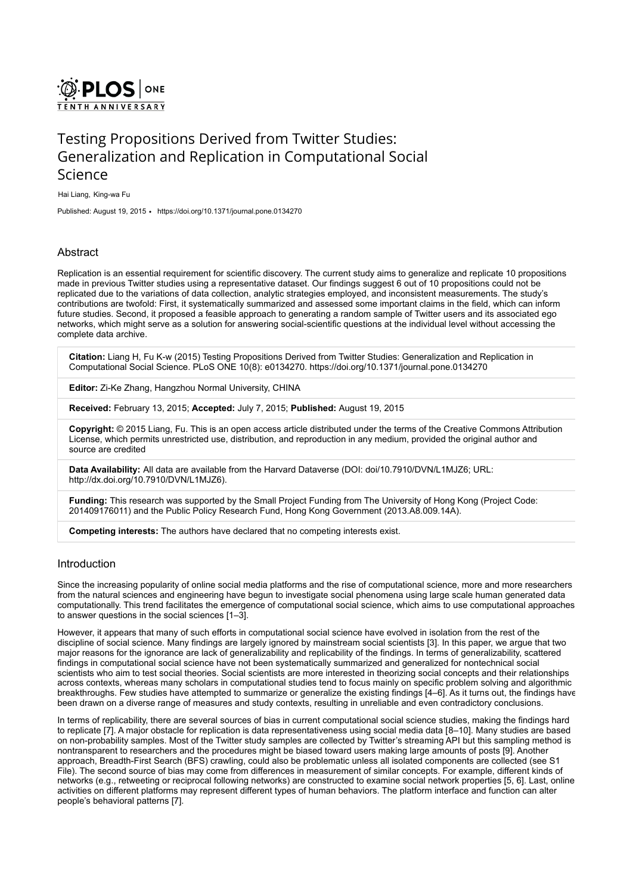

# Testing Propositions Derived from Twitter Studies: Generalization and Replication in Computational Social Science

Hai Liang, King-wa Fu

Published: August 19, 2015 • <https://doi.org/10.1371/journal.pone.0134270>

# **Abstract**

Replication is an essential requirement for scientific discovery. The current study aims to generalize and replicate 10 propositions made in previous Twitter studies using a representative dataset. Our findings suggest 6 out of 10 propositions could not be replicated due to the variations of data collection, analytic strategies employed, and inconsistent measurements. The study's contributions are twofold: First, it systematically summarized and assessed some important claims in the field, which can inform future studies. Second, it proposed a feasible approach to generating a random sample of Twitter users and its associated ego networks, which might serve as a solution for answering social-scientific questions at the individual level without accessing the complete data archive.

Citation: Liang H, Fu K-w (2015) Testing Propositions Derived from Twitter Studies: Generalization and Replication in Computational Social Science. PLoS ONE 10(8): e0134270. https://doi.org/10.1371/journal.pone.0134270

Editor: Zi-Ke Zhang, Hangzhou Normal University, CHINA

Received: February 13, 2015; Accepted: July 7, 2015; Published: August 19, 2015

Copyright: © 2015 Liang, Fu. This is an open access article distributed under the terms of the Creative Commons Attribution [License, which permits unrestricted use, distribution, and reproduction in any medium, provided the original author and](http://creativecommons.org/licenses/by/4.0/) source are credited

Data Availability: All data are available from the Harvard Dataverse (DOI: doi[/10.7910/DVN/L1MJZ6](http://dx.doi.org/10.7910/DVN/L1MJZ6); URL: [http://dx.doi.org/10.7910/DVN/L1MJZ6\)](http://dx.doi.org/10.7910/DVN/L1MJZ6).

Funding: This research was supported by the Small Project Funding from The University of Hong Kong (Project Code: 201409176011) and the Public Policy Research Fund, Hong Kong Government (2013.A8.009.14A).

Competing interests: The authors have declared that no competing interests exist.

# Introduction

Since the increasing popularity of online social media platforms and the rise of computational science, more and more researchers from the natural sciences and engineering have begun to investigate social phenomena using large scale human generated data computationally. This trend facilitates the emergence of computational social science, which aims to use computational approaches to answer questions in the social sciences [\[1–](#page-6-0)[3\]](#page-6-1).

However, it appears that many of such efforts in computational social science have evolved in isolation from the rest of the discipline of social science. Many findings are largely ignored by mainstream social scientists [[3\]](#page-6-1). In this paper, we argue that two major reasons for the ignorance are lack of generalizability and replicability of the findings. In terms of generalizability, scattered findings in computational social science have not been systematically summarized and generalized for nontechnical social scientists who aim to test social theories. Social scientists are more interested in theorizing social concepts and their relationships across contexts, whereas many scholars in computational studies tend to focus mainly on specific problem solving and algorithmic breakthroughs. Few studies have attempted to summarize or generalize the existing findings [[4](#page-6-2)[–6](#page-6-3)]. As it turns out, the findings have been drawn on a diverse range of measures and study contexts, resulting in unreliable and even contradictory conclusions.

In terms of replicability, there are several sources of bias in current computational social science studies, making the findings hard to replicate [[7](#page-6-4)]. A major obstacle for replication is data representativeness using social media data [[8–](#page-6-5)[10\]](#page-6-6). Many studies are based on non-probability samples. Most of the Twitter study samples are collected by Twitter's streaming API but this sampling method is nontransparent to researchers and the procedures might be biased toward users making large amounts of posts [[9\]](#page-6-7). Another approach, Breadth-First Search (BFS) crawling, could also be problematic unless all isolated components are collected (see S1 [File\). The second source of bias may come from differences in measurement of similar concepts. For example, different kinds of](#page-6-8) networks (e.g., retweeting or reciprocal following networks) are constructed to examine social network properties [[5](#page-6-9), [6\]](#page-6-3). Last, online activities on different platforms may represent different types of human behaviors. The platform interface and function can alter people's behavioral patterns [[7\]](#page-6-4).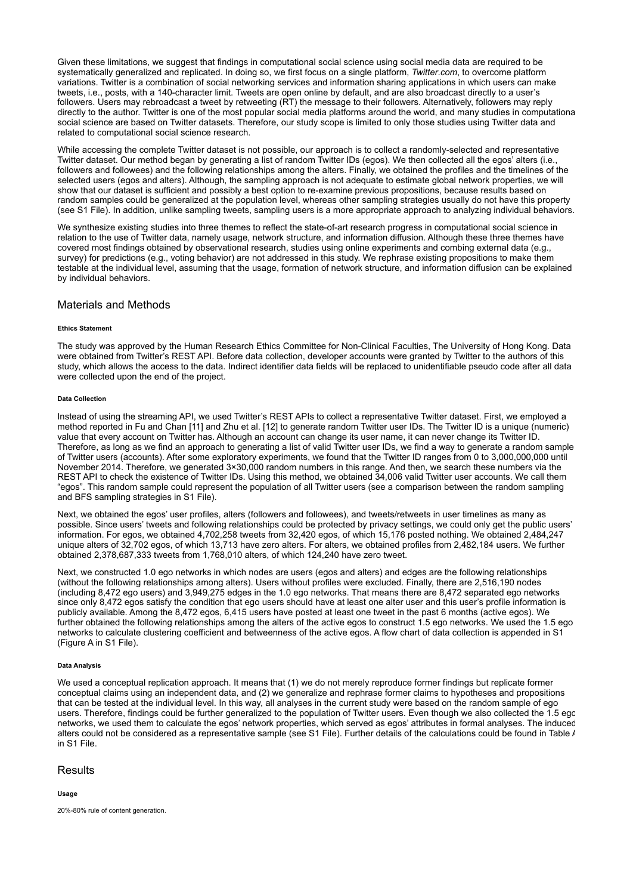Given these limitations, we suggest that findings in computational social science using social media data are required to be systematically generalized and replicated. In doing so, we first focus on a single platform, Twitter.com, to overcome platform variations. Twitter is a combination of social networking services and information sharing applications in which users can make tweets, i.e., posts, with a 140-character limit. Tweets are open online by default, and are also broadcast directly to a user's followers. Users may rebroadcast a tweet by retweeting (RT) the message to their followers. Alternatively, followers may reply directly to the author. Twitter is one of the most popular social media platforms around the world, and many studies in computationa social science are based on Twitter datasets. Therefore, our study scope is limited to only those studies using Twitter data and related to computational social science research.

While accessing the complete Twitter dataset is not possible, our approach is to collect a randomly-selected and representative Twitter dataset. Our method began by generating a list of random Twitter IDs (egos). We then collected all the egos' alters (i.e., followers and followees) and the following relationships among the alters. Finally, we obtained the profiles and the timelines of the selected users (egos and alters). Although, the sampling approach is not adequate to estimate global network properties, we will show that our dataset is sufficient and possibly a best option to re-examine previous propositions, because results based on random samples could be generalized at the population level, whereas other sampling strategies usually do not have this property (see [S1 File\)](#page-6-8). In addition, unlike sampling tweets, sampling users is a more appropriate approach to analyzing individual behaviors.

We synthesize existing studies into three themes to reflect the state-of-art research progress in computational social science in relation to the use of Twitter data, namely usage, network structure, and information diffusion. Although these three themes have covered most findings obtained by observational research, studies using online experiments and combing external data (e.g., survey) for predictions (e.g., voting behavior) are not addressed in this study. We rephrase existing propositions to make them testable at the individual level, assuming that the usage, formation of network structure, and information diffusion can be explained by individual behaviors.

# Materials and Methods

#### Ethics Statement

The study was approved by the Human Research Ethics Committee for Non-Clinical Faculties, The University of Hong Kong. Data were obtained from Twitter's REST API. Before data collection, developer accounts were granted by Twitter to the authors of this study, which allows the access to the data. Indirect identifier data fields will be replaced to unidentifiable pseudo code after all data were collected upon the end of the project.

#### Data Collection

Instead of using the streaming API, we used Twitter's REST APIs to collect a representative Twitter dataset. First, we employed a method reported in Fu and Chan [\[11\]](#page-7-0) and Zhu et al. [[12](#page-7-1)] to generate random Twitter user IDs. The Twitter ID is a unique (numeric) value that every account on Twitter has. Although an account can change its user name, it can never change its Twitter ID. Therefore, as long as we find an approach to generating a list of valid Twitter user IDs, we find a way to generate a random sample of Twitter users (accounts). After some exploratory experiments, we found that the Twitter ID ranges from 0 to 3,000,000,000 until November 2014. Therefore, we generated 3×30,000 random numbers in this range. And then, we search these numbers via the REST API to check the existence of Twitter IDs. Using this method, we obtained 34,006 valid Twitter user accounts. We call them "egos". This random sample could represent the population of all Twitter users (see a comparison between the random sampling and BFS sampling strategies in [S1 File\)](#page-6-8).

Next, we obtained the egos' user profiles, alters (followers and followees), and tweets/retweets in user timelines as many as possible. Since users' tweets and following relationships could be protected by privacy settings, we could only get the public users' information. For egos, we obtained 4,702,258 tweets from 32,420 egos, of which 15,176 posted nothing. We obtained 2,484,247 unique alters of 32,702 egos, of which 13,713 have zero alters. For alters, we obtained profiles from 2,482,184 users. We further obtained 2,378,687,333 tweets from 1,768,010 alters, of which 124,240 have zero tweet.

Next, we constructed 1.0 ego networks in which nodes are users (egos and alters) and edges are the following relationships (without the following relationships among alters). Users without profiles were excluded. Finally, there are 2,516,190 nodes (including 8,472 ego users) and 3,949,275 edges in the 1.0 ego networks. That means there are 8,472 separated ego networks since only 8,472 egos satisfy the condition that ego users should have at least one alter user and this user's profile information is publicly available. Among the 8,472 egos, 6,415 users have posted at least one tweet in the past 6 months (active egos). We further obtained the following relationships among the alters of the active egos to construct 1.5 ego networks. We used the 1.5 ego networks to calculate clustering coefficient and betweenness of the active egos. A flow chart of data collection is appended in S1 (Figure A in [S1 File](#page-6-8)).

## Data Analysis

We used a conceptual replication approach. It means that (1) we do not merely reproduce former findings but replicate former conceptual claims using an independent data, and (2) we generalize and rephrase former claims to hypotheses and propositions that can be tested at the individual level. In this way, all analyses in the current study were based on the random sample of ego users. Therefore, findings could be further generalized to the population of Twitter users. Even though we also collected the 1.5 ego networks, we used them to calculate the egos' network properties, which served as egos' attributes in formal analyses. The induced alters could not be considered as a representative sample (see [S1 File\)](#page-6-8). Further details of the calculations could be found in Table  $I$ in [S1 File](#page-6-8).

# **Results**

## Usage

20%-80% rule of content generation.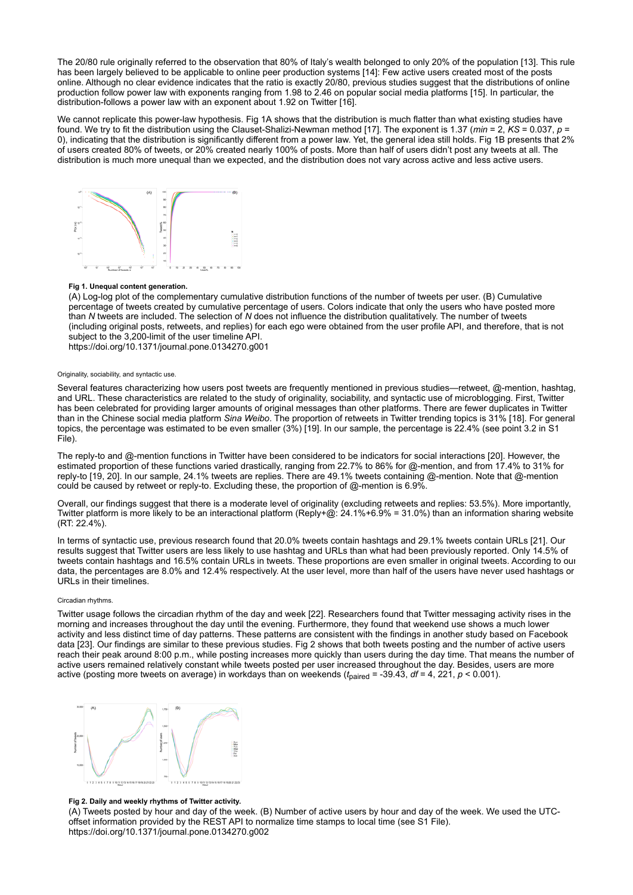The 20/80 rule originally referred to the observation that 80% of Italy's wealth belonged to only 20% of the population [\[13\]](#page-7-2). This rule has been largely believed to be applicable to online peer production systems [[14\]](#page-7-3): Few active users created most of the posts online. Although no clear evidence indicates that the ratio is exactly 20/80, previous studies suggest that the distributions of online production follow power law with exponents ranging from 1.98 to 2.46 on popular social media platforms [[15](#page-7-4)]. In particular, the distribution-follows a power law with an exponent about 1.92 on Twitter [[16](#page-7-5)].

We cannot replicate this power-law hypothesis. [Fig 1A](#page-2-0) shows that the distribution is much flatter than what existing studies have found. We try to fit the distribution using the Clauset-Shalizi-Newman method [[17\]](#page-7-6). The exponent is 1.37 (min = 2, KS = 0.037, p = 0), indicating that the distribution is significantly different from a power law. Yet, the general idea still holds. [Fig 1B](#page-2-0) presents that 2% of users created 80% of tweets, or 20% created nearly 100% of posts. More than half of users didn't post any tweets at all. The distribution is much more unequal than we expected, and the distribution does not vary across active and less active users.

<span id="page-2-0"></span>

#### Fig 1. Unequal content generation.

(A) Log-log plot of the complementary cumulative distribution functions of the number of tweets per user. (B) Cumulative percentage of tweets created by cumulative percentage of users. Colors indicate that only the users who have posted more than N tweets are included. The selection of N does not influence the distribution qualitatively. The number of tweets (including original posts, retweets, and replies) for each ego were obtained from the user profile API, and therefore, that is not subject to the 3,200-limit of the user timeline API. <https://doi.org/10.1371/journal.pone.0134270.g001>

Originality, sociability, and syntactic use.

Several features characterizing how users post tweets are frequently mentioned in previous studies—retweet, @-mention, hashtag, and URL. These characteristics are related to the study of originality, sociability, and syntactic use of microblogging. First, Twitter has been celebrated for providing larger amounts of original messages than other platforms. There are fewer duplicates in Twitter than in the Chinese social media platform Sina Weibo. The proportion of retweets in Twitter trending topics is 31% [\[18\]](#page-7-7). For general [topics, the percentage was estimated to be even smaller \(3%\) \[19\]. In our sample, the percentage is 22.4% \(see point 3.2 in S1](#page-6-8) File).

The reply-to and @-mention functions in Twitter have been considered to be indicators for social interactions [[20\]](#page-7-9). However, the estimated proportion of these functions varied drastically, ranging from 22.7% to 86% for @-mention, and from 17.4% to 31% for reply-to [[19](#page-7-8), [20](#page-7-9)]. In our sample, 24.1% tweets are replies. There are 49.1% tweets containing @-mention. Note that @-mention could be caused by retweet or reply-to. Excluding these, the proportion of @-mention is 6.9%.

Overall, our findings suggest that there is a moderate level of originality (excluding retweets and replies: 53.5%). More importantly, Twitter platform is more likely to be an interactional platform (Reply+@:  $24.1\%+6.9\% = 31.0\%$ ) than an information sharing website (RT: 22.4%).

In terms of syntactic use, previous research found that 20.0% tweets contain hashtags and 29.1% tweets contain URLs [[21\]](#page-7-10). Our results suggest that Twitter users are less likely to use hashtag and URLs than what had been previously reported. Only 14.5% of tweets contain hashtags and 16.5% contain URLs in tweets. These proportions are even smaller in original tweets. According to our data, the percentages are 8.0% and 12.4% respectively. At the user level, more than half of the users have never used hashtags or URLs in their timelines.

#### Circadian rhythms.

Twitter usage follows the circadian rhythm of the day and week [[22\]](#page-7-11). Researchers found that Twitter messaging activity rises in the morning and increases throughout the day until the evening. Furthermore, they found that weekend use shows a much lower activity and less distinct time of day patterns. These patterns are consistent with the findings in another study based on Facebook data [\[23](#page-7-12)]. Our findings are similar to these previous studies. [Fig 2](#page-2-1) shows that both tweets posting and the number of active users reach their peak around 8:00 p.m., while posting increases more quickly than users during the day time. That means the number of active users remained relatively constant while tweets posted per user increased throughout the day. Besides, users are more active (posting more tweets on average) in workdays than on weekends ( $t_{\rm paired}$  = -39.43, df = 4, 221, p < 0.001).

<span id="page-2-1"></span>

## Fig 2. Daily and weekly rhythms of Twitter activity.

(A) Tweets posted by hour and day of the week. (B) Number of active users by hour and day of the week. We used the UTCoffset information provided by the REST API to normalize time stamps to local time (see [S1 File\)](#page-6-8). <https://doi.org/10.1371/journal.pone.0134270.g002>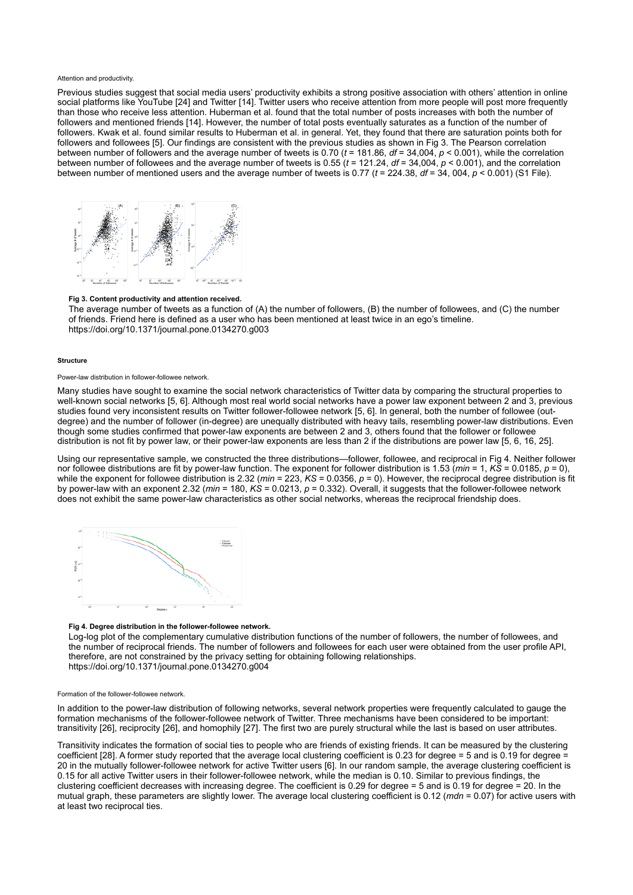#### Attention and productivity.

Previous studies suggest that social media users' productivity exhibits a strong positive association with others' attention in online social platforms like YouTube [[24](#page-7-13)] and Twitter [[14](#page-7-3)]. Twitter users who receive attention from more people will post more frequently than those who receive less attention. Huberman et al. found that the total number of posts increases with both the number of followers and mentioned friends [[14\]](#page-7-3). However, the number of total posts eventually saturates as a function of the number of followers. Kwak et al. found similar results to Huberman et al. in general. Yet, they found that there are saturation points both for followers and followees [\[5](#page-6-9)]. Our findings are consistent with the previous studies as shown in [Fig 3](#page-3-0). The Pearson correlation between number of followers and the average number of tweets is 0.70 ( $t = 181.86$ ,  $df = 34.004$ ,  $p < 0.001$ ), while the correlation between number of followees and the average number of tweets is  $0.55$  ( $t = 121.24$ ,  $df = 34,004$ ,  $p < 0.001$ ), and the correlation between number of mentioned users and the average number of tweets is 0.77 ( $t = 224.38$ ,  $df = 34$ , 004,  $p < 0.001$ ) ([S1 File\)](#page-6-8).

<span id="page-3-0"></span>

## Fig 3. Content productivity and attention received.

The average number of tweets as a function of (A) the number of followers, (B) the number of followees, and (C) the number of friends. Friend here is defined as a user who has been mentioned at least twice in an ego's timeline. <https://doi.org/10.1371/journal.pone.0134270.g003>

#### **Structure**

#### Power-law distribution in follower-followee network.

Many studies have sought to examine the social network characteristics of Twitter data by comparing the structural properties to well-known social networks [\[5,](#page-6-9) [6](#page-6-3)]. Although most real world social networks have a power law exponent between 2 and 3, previous studies found very inconsistent results on Twitter follower-followee network [\[5,](#page-6-9) [6](#page-6-3)]. In general, both the number of followee (outdegree) and the number of follower (in-degree) are unequally distributed with heavy tails, resembling power-law distributions. Even though some studies confirmed that power-law exponents are between 2 and 3, others found that the follower or followee distribution is not fit by power law, or their power-law exponents are less than 2 if the distributions are power law [[5,](#page-6-9) [6](#page-6-3), [16](#page-7-5), [25](#page-7-14)].

Using our representative sample, we constructed the three distributions—follower, followee, and reciprocal in [Fig 4.](#page-3-1) Neither follower nor followee distributions are fit by power-law function. The exponent for follower distribution is 1.53 (min = 1, KS = 0.0185, p = 0), while the exponent for followee distribution is 2.32 (min = 223, KS = 0.0356, p = 0). However, the reciprocal degree distribution is fit by power-law with an exponent 2.32 ( $min = 180$ ,  $K\overline{S} = 0.0213$ ,  $p = 0.332$ ). Overall, it suggests that the follower-followee network does not exhibit the same power-law characteristics as other social networks, whereas the reciprocal friendship does.

<span id="page-3-1"></span>

## Fig 4. Degree distribution in the follower-followee network.

Log-log plot of the complementary cumulative distribution functions of the number of followers, the number of followees, and the number of reciprocal friends. The number of followers and followees for each user were obtained from the user profile API, therefore, are not constrained by the privacy setting for obtaining following relationships. <https://doi.org/10.1371/journal.pone.0134270.g004>

#### Formation of the follower-followee network.

In addition to the power-law distribution of following networks, several network properties were frequently calculated to gauge the formation mechanisms of the follower-followee network of Twitter. Three mechanisms have been considered to be important: transitivity [\[26\]](#page-7-15), reciprocity [\[26\]](#page-7-15), and homophily [\[27\]](#page-7-16). The first two are purely structural while the last is based on user attributes.

Transitivity indicates the formation of social ties to people who are friends of existing friends. It can be measured by the clustering coefficient [[28\]](#page-7-17). A former study reported that the average local clustering coefficient is 0.23 for degree = 5 and is 0.19 for degree = 20 in the mutually follower-followee network for active Twitter users [[6](#page-6-3)]. In our random sample, the average clustering coefficient is 0.15 for all active Twitter users in their follower-followee network, while the median is 0.10. Similar to previous findings, the clustering coefficient decreases with increasing degree. The coefficient is 0.29 for degree = 5 and is 0.19 for degree = 20. In the mutual graph, these parameters are slightly lower. The average local clustering coefficient is  $0.12$  (mdn =  $0.07$ ) for active users with at least two reciprocal ties.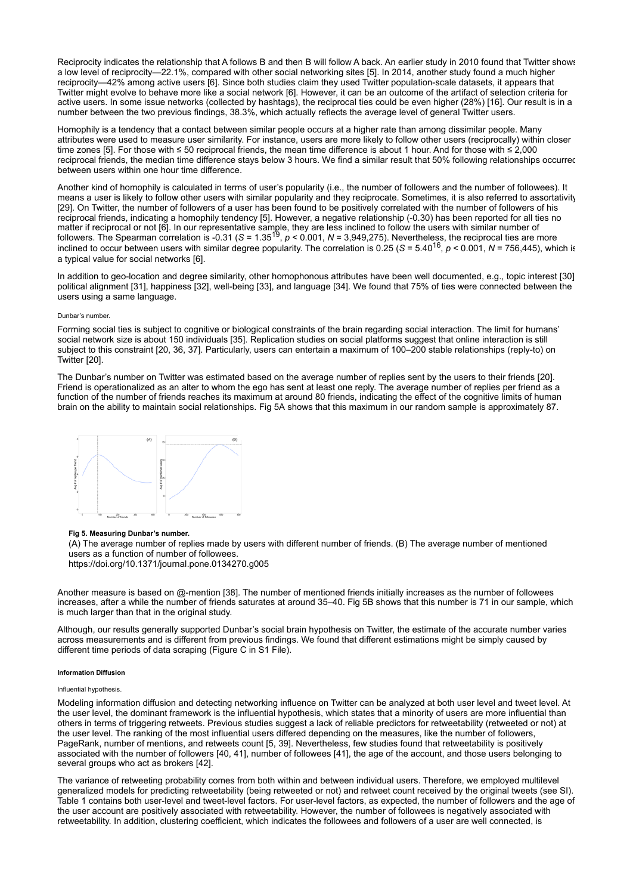Reciprocity indicates the relationship that A follows B and then B will follow A back. An earlier study in 2010 found that Twitter shows a low level of reciprocity—22.1%, compared with other social networking sites [\[5](#page-6-9)]. In 2014, another study found a much higher reciprocity—42% among active users [\[6](#page-6-3)]. Since both studies claim they used Twitter population-scale datasets, it appears that Twitter might evolve to behave more like a social network [[6](#page-6-3)]. However, it can be an outcome of the artifact of selection criteria for active users. In some issue networks (collected by hashtags), the reciprocal ties could be even higher (28%) [[16\]](#page-7-5). Our result is in a number between the two previous findings, 38.3%, which actually reflects the average level of general Twitter users.

Homophily is a tendency that a contact between similar people occurs at a higher rate than among dissimilar people. Many attributes were used to measure user similarity. For instance, users are more likely to follow other users (reciprocally) within closer time zones [\[5](#page-6-9)]. For those with ≤ 50 reciprocal friends, the mean time difference is about 1 hour. And for those with ≤ 2,000 reciprocal friends, the median time difference stays below 3 hours. We find a similar result that 50% following relationships occurred between users within one hour time difference.

Another kind of homophily is calculated in terms of user's popularity (i.e., the number of followers and the number of followees). It means a user is likely to follow other users with similar popularity and they reciprocate. Sometimes, it is also referred to assortativity [\[29\]](#page-7-18). On Twitter, the number of followers of a user has been found to be positively correlated with the number of followers of his reciprocal friends, indicating a homophily tendency [[5\]](#page-6-9). However, a negative relationship (-0.30) has been reported for all ties no matter if reciprocal or not [[6](#page-6-3)]. In our representative sample, they are less inclined to follow the users with similar number of followers. The Spearman correlation is  $-0.31$  (S =  $1.35^{19}$ ,  $p < 0.001$ ,  $N = 3.949,275$ ). Nevertheless, the reciprocal ties are more inclined to occur between users with similar degree popularity. The correlation is 0.25 (S = 5.40<sup>16</sup>,  $p < 0.001$ , N = 756,445), which is a typical value for social networks [[6\]](#page-6-3).

In addition to geo-location and degree similarity, other homophonous attributes have been well documented, e.g., topic interest [[30](#page-7-19)] political alignment [\[31\]](#page-7-20), happiness [[32](#page-7-21)], well-being [[33](#page-7-22)], and language [[34](#page-7-23)]. We found that 75% of ties were connected between the users using a same language.

#### Dunbar's number.

Forming social ties is subject to cognitive or biological constraints of the brain regarding social interaction. The limit for humans' social network size is about 150 individuals [[35](#page-7-24)]. Replication studies on social platforms suggest that online interaction is still subject to this constraint [[20](#page-7-9), [36](#page-8-0), [37](#page-8-1)]. Particularly, users can entertain a maximum of 100–200 stable relationships (reply-to) on Twitter [\[20\]](#page-7-9).

The Dunbar's number on Twitter was estimated based on the average number of replies sent by the users to their friends [[20\]](#page-7-9). Friend is operationalized as an alter to whom the ego has sent at least one reply. The average number of replies per friend as a function of the number of friends reaches its maximum at around 80 friends, indicating the effect of the cognitive limits of human brain on the ability to maintain social relationships. [Fig 5A](#page-4-0) shows that this maximum in our random sample is approximately 87.

<span id="page-4-0"></span>

## Fig 5. Measuring Dunbar's number.

(A) The average number of replies made by users with different number of friends. (B) The average number of mentioned users as a function of number of followees.

<https://doi.org/10.1371/journal.pone.0134270.g005>

Another measure is based on @-mention [\[38\]](#page-8-2). The number of mentioned friends initially increases as the number of followees increases, after a while the number of friends saturates at around 35–40. [Fig 5B](#page-4-0) shows that this number is 71 in our sample, which is much larger than that in the original study.

Although, our results generally supported Dunbar's social brain hypothesis on Twitter, the estimate of the accurate number varies across measurements and is different from previous findings. We found that different estimations might be simply caused by different time periods of data scraping (Figure C in [S1 File](#page-6-8)).

#### Information Diffusion

#### Influential hypothesis.

Modeling information diffusion and detecting networking influence on Twitter can be analyzed at both user level and tweet level. At the user level, the dominant framework is the influential hypothesis, which states that a minority of users are more influential than others in terms of triggering retweets. Previous studies suggest a lack of reliable predictors for retweetability (retweeted or not) at the user level. The ranking of the most influential users differed depending on the measures, like the number of followers, PageRank, number of mentions, and retweets count [[5](#page-6-9), [39\]](#page-8-3). Nevertheless, few studies found that retweetability is positively associated with the number of followers [[40](#page-8-4), [41\]](#page-8-5), number of followees [\[41\]](#page-8-5), the age of the account, and those users belonging to several groups who act as brokers [[42](#page-8-6)].

The variance of retweeting probability comes from both within and between individual users. Therefore, we employed multilevel generalized models for predicting retweetability (being retweeted or not) and retweet count received by the original tweets (see SI). [Table 1](#page-5-0) contains both user-level and tweet-level factors. For user-level factors, as expected, the number of followers and the age of the user account are positively associated with retweetability. However, the number of followees is negatively associated with retweetability. In addition, clustering coefficient, which indicates the followees and followers of a user are well connected, is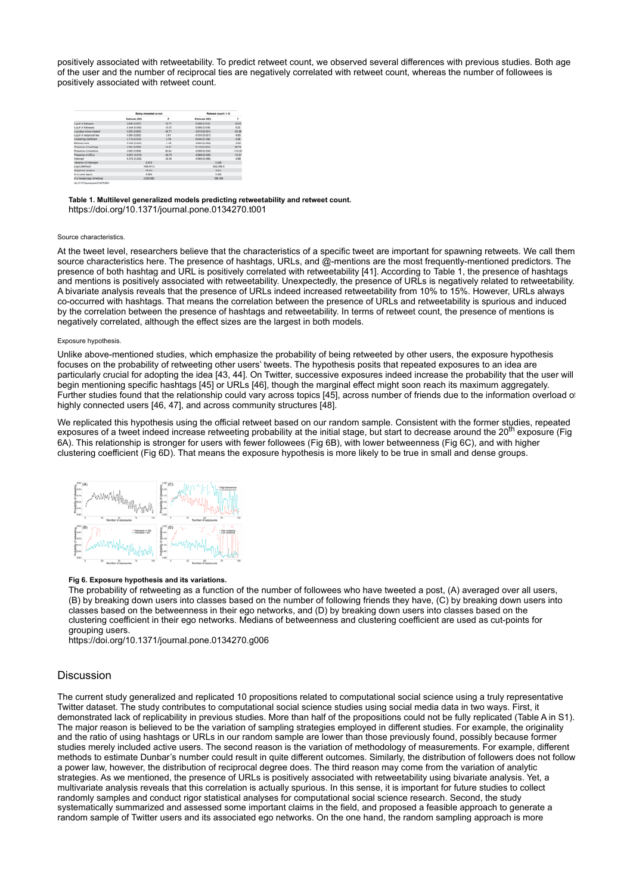positively associated with retweetability. To predict retweet count, we observed several differences with previous studies. Both age of the user and the number of reciprocal ties are negatively correlated with retweet count, whereas the number of followees is positively associated with retweet count.

<span id="page-5-0"></span>

|                                        | Being retweeted or not |          | Fletweet count ( > 0) |          |
|----------------------------------------|------------------------|----------|-----------------------|----------|
|                                        | Estimate (SE)          | z        | Estimate (SE)         | z        |
| Log # of followers                     | 0.628 (0.037)          | 16.77    | 0.269 (0.015)         | 18.22    |
| Log # of followees                     | 0.444 (0.043)          | $+55.37$ | 0.005 (0.018)         | 5.22     |
| Log-days since created                 | 0.250 (0.005)          | 49.77    | $-0.01010.0011$       | -59.3    |
| Log # of reciprocal ties               | 0.304 (0.052)          | 5.91     | $-0.191(0.021)$       | $-0.05$  |
| Clustering coefficient                 | 2.773 (0.316)          | 8.78     | 0.645 (0.158)         | 4.08     |
| Betweenness                            | 0.542 (0.236)          | $-5.46$  | $-0.064.03.0936$      | $-0.08$  |
| Presence of hashtags                   | 0.354 (0.008)          | 44.31    | 0.143 (3.004)         | 32.77    |
| Presence of mentions                   | 0.002 (3.008)          | 85.64    | 490510.006            | $-114.0$ |
| Presence of URLs                       | -0.831 (0.010)         | $-43.78$ | -0.584 (0.005)        | $-19.3$  |
| Intercept                              | 4.575-10.2020          | $-32.50$ | $-0.065 + 0.096$      | $-0.68$  |
| Variance of intercepts                 | 2.613                  |          | 0.256                 |          |
| <b>Log-Likelhood</b>                   | -400,541.5             |          | 432,406.9             |          |
| Explained variation                    | 16.5%                  |          | 3.5%                  |          |
| # of users (epos)                      | 5,894                  |          | 3.082                 |          |
| <b>Il certifierri codi zbevel fo B</b> | 2-009.563              |          | 198, 199              |          |
|                                        |                        |          |                       |          |

Table 1. Multilevel generalized models predicting retweetability and retweet count. <https://doi.org/10.1371/journal.pone.0134270.t001>

#### Source characteristics.

At the tweet level, researchers believe that the characteristics of a specific tweet are important for spawning retweets. We call them source characteristics here. The presence of hashtags, URLs, and @-mentions are the most frequently-mentioned predictors. The presence of both hashtag and URL is positively correlated with retweetability [[41\]](#page-8-5). According to [Table 1](#page-5-0), the presence of hashtags and mentions is positively associated with retweetability. Unexpectedly, the presence of URLs is negatively related to retweetability. A bivariate analysis reveals that the presence of URLs indeed increased retweetability from 10% to 15%. However, URLs always co-occurred with hashtags. That means the correlation between the presence of URLs and retweetability is spurious and induced by the correlation between the presence of hashtags and retweetability. In terms of retweet count, the presence of mentions is negatively correlated, although the effect sizes are the largest in both models.

#### Exposure hypothesis.

Unlike above-mentioned studies, which emphasize the probability of being retweeted by other users, the exposure hypothesis focuses on the probability of retweeting other users' tweets. The hypothesis posits that repeated exposures to an idea are particularly crucial for adopting the idea [[43](#page-8-7), [44](#page-8-8)]. On Twitter, successive exposures indeed increase the probability that the user will begin mentioning specific hashtags [[45\]](#page-8-9) or URLs [\[46](#page-8-10)], though the marginal effect might soon reach its maximum aggregately. Further studies found that the relationship could vary across topics [[45](#page-8-9)], across number of friends due to the information overload of highly connected users [[46](#page-8-10), [47](#page-8-11)], and across community structures [\[48\]](#page-8-12).

We replicated this hypothesis using the official retweet based on our random sample. Consistent with the former studies, repeated exposures of a tweet indeed increase retweeting probability at the initial stage, but start to decrease around the 20<sup>th</sup> exposure (Fig 6A). This relationship is stronger for users with fewer followees ([Fig 6B\)](#page-5-1), with lower betweenness ([Fig 6C](#page-5-1)), and with higher clustering coefficient [\(Fig 6D\)](#page-5-1). That means the exposure hypothesis is more likely to be true in small and dense groups.

<span id="page-5-1"></span>

## Fig 6. Exposure hypothesis and its variations.

The probability of retweeting as a function of the number of followees who have tweeted a post, (A) averaged over all users, (B) by breaking down users into classes based on the number of following friends they have, (C) by breaking down users into classes based on the betweenness in their ego networks, and (D) by breaking down users into classes based on the clustering coefficient in their ego networks. Medians of betweenness and clustering coefficient are used as cut-points for grouping users.

<https://doi.org/10.1371/journal.pone.0134270.g006>

# Discussion

The current study generalized and replicated 10 propositions related to computational social science using a truly representative Twitter dataset. The study contributes to computational social science studies using social media data in two ways. First, it demonstrated lack of replicability in previous studies. More than half of the propositions could not be fully replicated (Table A in S1). The major reason is believed to be the variation of sampling strategies employed in different studies. For example, the originality and the ratio of using hashtags or URLs in our random sample are lower than those previously found, possibly because former studies merely included active users. The second reason is the variation of methodology of measurements. For example, different methods to estimate Dunbar's number could result in quite different outcomes. Similarly, the distribution of followers does not follow a power law, however, the distribution of reciprocal degree does. The third reason may come from the variation of analytic strategies. As we mentioned, the presence of URLs is positively associated with retweetability using bivariate analysis. Yet, a multivariate analysis reveals that this correlation is actually spurious. In this sense, it is important for future studies to collect randomly samples and conduct rigor statistical analyses for computational social science research. Second, the study systematically summarized and assessed some important claims in the field, and proposed a feasible approach to generate a random sample of Twitter users and its associated ego networks. On the one hand, the random sampling approach is more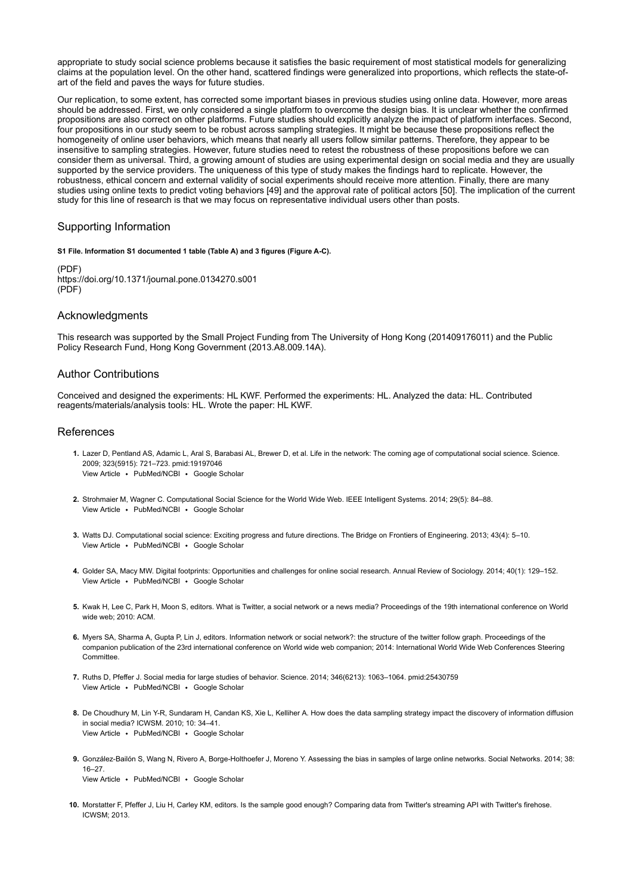appropriate to study social science problems because it satisfies the basic requirement of most statistical models for generalizing claims at the population level. On the other hand, scattered findings were generalized into proportions, which reflects the state-ofart of the field and paves the ways for future studies.

Our replication, to some extent, has corrected some important biases in previous studies using online data. However, more areas should be addressed. First, we only considered a single platform to overcome the design bias. It is unclear whether the confirmed propositions are also correct on other platforms. Future studies should explicitly analyze the impact of platform interfaces. Second, four propositions in our study seem to be robust across sampling strategies. It might be because these propositions reflect the homogeneity of online user behaviors, which means that nearly all users follow similar patterns. Therefore, they appear to be insensitive to sampling strategies. However, future studies need to retest the robustness of these propositions before we can consider them as universal. Third, a growing amount of studies are using experimental design on social media and they are usually supported by the service providers. The uniqueness of this type of study makes the findings hard to replicate. However, the robustness, ethical concern and external validity of social experiments should receive more attention. Finally, there are many studies using online texts to predict voting behaviors [[49\]](#page-8-13) and the approval rate of political actors [\[50\]](#page-8-14). The implication of the current study for this line of research is that we may focus on representative individual users other than posts.

# Supporting Information

<span id="page-6-8"></span>[S1 File. I](http://journals.plos.org/plosone/article/file?type=supplementary&id=info:doi/10.1371/journal.pone.0134270.s001)nformation S1 documented 1 table (Table A) and 3 figures (Figure A-C).

(PDF) <https://doi.org/10.1371/journal.pone.0134270.s001> (PDF)

# Acknowledgments

This research was supported by the Small Project Funding from The University of Hong Kong (201409176011) and the Public Policy Research Fund, Hong Kong Government (2013.A8.009.14A).

# Author Contributions

Conceived and designed the experiments: HL KWF. Performed the experiments: HL. Analyzed the data: HL. Contributed reagents/materials/analysis tools: HL. Wrote the paper: HL KWF.

# References

- <span id="page-6-0"></span>1. Lazer D, Pentland AS, Adamic L, Aral S, Barabasi AL, Brewer D, et al. Life in the network: The coming age of computational social science. Science. View Article · [PubMed/NCBI](http://www.ncbi.nlm.nih.gov/entrez/query.fcgi?db=PubMed&cmd=Search&doptcmdl=Citation&defaultField=Title+Word&term=Lazer%5Bauthor%5D+AND+Life+in+the+network%3A+The+coming+age+of+computational+social+science) · [Google Scholar](http://scholar.google.com/scholar_lookup?title=Life+in+the+network%3A+The+coming+age+of+computational+social+science&author=Lazer&publication_year=2009) 2009; 323(5915): 721–723. pmid:19197046
- 2. Strohmaier M, Wagner C. Computational Social Science for the World Wide Web. IEEE Intelligent Systems. 2014; 29(5): 84–88. View Article · [PubMed/NCBI](http://www.ncbi.nlm.nih.gov/entrez/query.fcgi?db=PubMed&cmd=Search&doptcmdl=Citation&defaultField=Title+Word&term=Strohmaier%5Bauthor%5D+AND+Computational+Social+Science+for+the+World+Wide+Web) · [Google Scholar](http://scholar.google.com/scholar_lookup?title=Computational+Social+Science+for+the+World+Wide+Web&author=Strohmaier&publication_year=2014)
- <span id="page-6-1"></span>3. Watts DJ. Computational social science: Exciting progress and future directions. The Bridge on Frontiers of Engineering. 2013; 43(4): 5–10. View Article · [PubMed/NCBI](http://www.ncbi.nlm.nih.gov/entrez/query.fcgi?db=PubMed&cmd=Search&doptcmdl=Citation&defaultField=Title+Word&term=Watts%5Bauthor%5D+AND+Computational+social+science%3A+Exciting+progress+and+future+directions) · [Google Scholar](http://scholar.google.com/scholar_lookup?title=Computational+social+science%3A+Exciting+progress+and+future+directions&author=Watts&publication_year=2013)
- <span id="page-6-2"></span>4. Golder SA, Macy MW. Digital footprints: Opportunities and challenges for online social research. Annual Review of Sociology. 2014; 40(1): 129–152. View Article · [PubMed/NCBI](http://www.ncbi.nlm.nih.gov/entrez/query.fcgi?db=PubMed&cmd=Search&doptcmdl=Citation&defaultField=Title+Word&term=Golder%5Bauthor%5D+AND+Digital+footprints%3A+Opportunities+and+challenges+for+online+social+research) · [Google Scholar](http://scholar.google.com/scholar_lookup?title=Digital+footprints%3A+Opportunities+and+challenges+for+online+social+research&author=Golder&publication_year=2014)
- <span id="page-6-9"></span>5. Kwak H, Lee C, Park H, Moon S, editors. What is Twitter, a social network or a news media? Proceedings of the 19th international conference on World wide web; 2010: ACM.
- <span id="page-6-3"></span>6. Myers SA, Sharma A, Gupta P, Lin J, editors. Information network or social network?: the structure of the twitter follow graph. Proceedings of the companion publication of the 23rd international conference on World wide web companion; 2014: International World Wide Web Conferences Steering Committee.
- <span id="page-6-4"></span>7. Ruths D, Pfeffer J. Social media for large studies of behavior. Science. 2014; 346(6213): 1063–1064. pmid:25430759 [View Article](https://doi.org/10.1126/science.346.6213.1063) · [PubMed/NCBI](http://www.ncbi.nlm.nih.gov/entrez/query.fcgi?db=PubMed&cmd=Search&doptcmdl=Citation&defaultField=Title+Word&term=Ruths%5Bauthor%5D+AND+Social+media+for+large+studies+of+behavior) · [Google Scholar](http://scholar.google.com/scholar_lookup?title=Social+media+for+large+studies+of+behavior&author=Ruths&publication_year=2014)
- <span id="page-6-5"></span>8. De Choudhury M, Lin Y-R, Sundaram H, Candan KS, Xie L, Kelliher A. How does the data sampling strategy impact the discovery of information diffusion View Article · [PubMed/NCBI](http://www.ncbi.nlm.nih.gov/entrez/query.fcgi?db=PubMed&cmd=Search&doptcmdl=Citation&defaultField=Title+Word&term=De+Choudhury%5Bauthor%5D+AND+How+does+the+data+sampling+strategy+impact+the+discovery+of+information+diffusion+in+social+media%3F) · [Google Scholar](http://scholar.google.com/scholar_lookup?title=How+does+the+data+sampling+strategy+impact+the+discovery+of+information+diffusion+in+social+media%3F&author=De+Choudhury&publication_year=2010) in social media? ICWSM. 2010; 10: 34–41.
- <span id="page-6-7"></span>9. González-Bailón S, Wang N, Rivero A, Borge-Holthoefer J, Moreno Y. Assessing the bias in samples of large online networks. Social Networks. 2014; 38: View Article · [PubMed/NCBI](http://www.ncbi.nlm.nih.gov/entrez/query.fcgi?db=PubMed&cmd=Search&doptcmdl=Citation&defaultField=Title+Word&term=Gonz%C3%A1lez-Bail%C3%B3n%5Bauthor%5D+AND+Assessing+the+bias+in+samples+of+large+online+networks) · [Google Scholar](http://scholar.google.com/scholar_lookup?title=Assessing+the+bias+in+samples+of+large+online+networks&author=Gonz%C3%A1lez-Bail%C3%B3n&publication_year=2014) 16–27.
- <span id="page-6-6"></span>10. Morstatter F, Pfeffer J, Liu H, Carley KM, editors. Is the sample good enough? Comparing data from Twitter's streaming API with Twitter's firehose. ICWSM; 2013.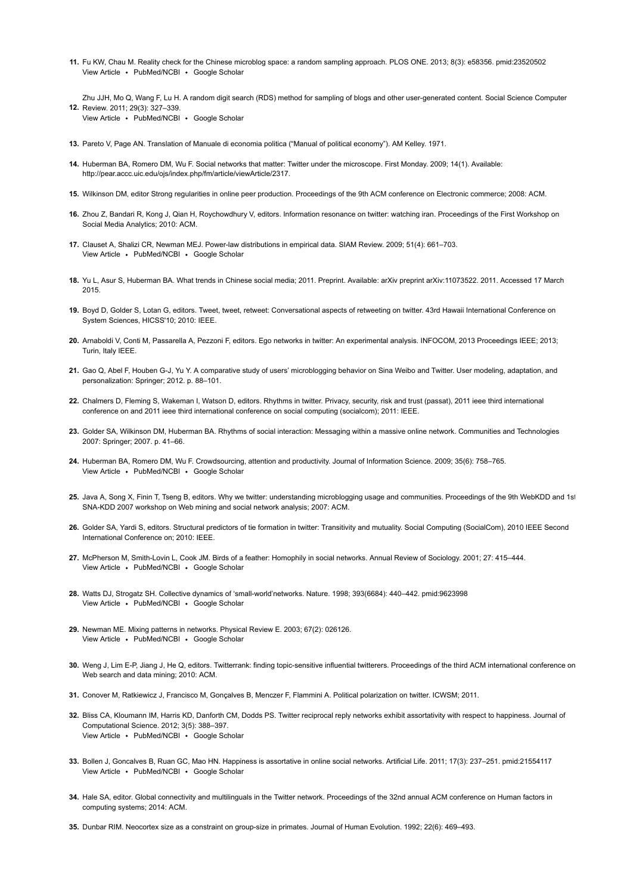<span id="page-7-0"></span>11. Fu KW, Chau M. Reality check for the Chinese microblog space: a random sampling approach. PLOS ONE. 2013; 8(3): e58356. pmid:23520502 [View Article](http://journals.plos.org/plosone/article?id=10.1371/journal.pone.0058356) · [PubMed/NCBI](http://www.ncbi.nlm.nih.gov/entrez/query.fcgi?db=PubMed&cmd=Search&doptcmdl=Citation&defaultField=Title+Word&term=Fu%5Bauthor%5D+AND+Reality+check+for+the+Chinese+microblog+space%3A+a+random+sampling+approach) · [Google Scholar](http://scholar.google.com/scholar_lookup?title=Reality+check+for+the+Chinese+microblog+space%3A+a+random+sampling+approach&author=Fu&publication_year=2013)

<span id="page-7-1"></span>12. Review. 2011; 29(3): 327–339. Zhu JJH, Mo Q, Wang F, Lu H. A random digit search (RDS) method for sampling of blogs and other user-generated content. Social Science Computer

- View Article [PubMed/NCBI](http://www.ncbi.nlm.nih.gov/entrez/query.fcgi?db=PubMed&cmd=Search&doptcmdl=Citation&defaultField=Title+Word&term=Zhu%5Bauthor%5D+AND+A+random+digit+search+%28RDS%29+method+for+sampling+of+blogs+and+other+user-generated+content) [Google Scholar](http://scholar.google.com/scholar_lookup?title=A+random+digit+search+%28RDS%29+method+for+sampling+of+blogs+and+other+user-generated+content&author=Zhu&publication_year=2011)
- <span id="page-7-2"></span>13. Pareto V, Page AN. Translation of Manuale di economia politica ("Manual of political economy"). AM Kelley. 1971.
- <span id="page-7-3"></span>14. Huberman BA, Romero DM, Wu F. Social networks that matter: Twitter under the microscope. First Monday. 2009; 14(1). Available: [http://pear.accc.uic.edu/ojs/index.php/fm/article/viewArticle/2317.](http://pear.accc.uic.edu/ojs/index.php/fm/article/viewArticle/2317)
- <span id="page-7-4"></span>15. Wilkinson DM, editor Strong regularities in online peer production. Proceedings of the 9th ACM conference on Electronic commerce; 2008: ACM.
- <span id="page-7-5"></span>16. Zhou Z, Bandari R, Kong J, Qian H, Roychowdhury V, editors. Information resonance on twitter: watching iran. Proceedings of the First Workshop on Social Media Analytics; 2010: ACM.
- <span id="page-7-6"></span>17. Clauset A, Shalizi CR, Newman MEJ. Power-law distributions in empirical data. SIAM Review. 2009; 51(4): 661–703. View Article • [PubMed/NCBI](http://www.ncbi.nlm.nih.gov/entrez/query.fcgi?db=PubMed&cmd=Search&doptcmdl=Citation&defaultField=Title+Word&term=Clauset%5Bauthor%5D+AND+Power-law+distributions+in+empirical+data) • [Google Scholar](http://scholar.google.com/scholar_lookup?title=Power-law+distributions+in+empirical+data&author=Clauset&publication_year=2009)
- <span id="page-7-7"></span>18. Yu L, Asur S, Huberman BA. What trends in Chinese social media; 2011. Preprint. Available: arXiv preprint arXiv:11073522. 2011. Accessed 17 March 2015.
- <span id="page-7-8"></span>19. Boyd D, Golder S, Lotan G, editors. Tweet, tweet, retweet: Conversational aspects of retweeting on twitter. 43rd Hawaii International Conference on System Sciences, HICSS'10; 2010: IEEE.
- <span id="page-7-9"></span>20. Arnaboldi V, Conti M, Passarella A, Pezzoni F, editors. Ego networks in twitter: An experimental analysis. INFOCOM, 2013 Proceedings IEEE; 2013; Turin, Italy IEEE.
- <span id="page-7-10"></span>21. Gao Q, Abel F, Houben G-J, Yu Y. A comparative study of users' microblogging behavior on Sina Weibo and Twitter. User modeling, adaptation, and personalization: Springer; 2012. p. 88–101.
- <span id="page-7-11"></span>22. Chalmers D, Fleming S, Wakeman I, Watson D, editors. Rhythms in twitter. Privacy, security, risk and trust (passat), 2011 ieee third international conference on and 2011 ieee third international conference on social computing (socialcom); 2011: IEEE.
- <span id="page-7-12"></span>23. Golder SA, Wilkinson DM, Huberman BA. Rhythms of social interaction: Messaging within a massive online network. Communities and Technologies 2007: Springer; 2007. p. 41–66.
- <span id="page-7-13"></span>24. Huberman BA, Romero DM, Wu F. Crowdsourcing, attention and productivity. Journal of Information Science. 2009; 35(6): 758–765. View Article · [PubMed/NCBI](http://www.ncbi.nlm.nih.gov/entrez/query.fcgi?db=PubMed&cmd=Search&doptcmdl=Citation&defaultField=Title+Word&term=Huberman%5Bauthor%5D+AND+Crowdsourcing%2C+attention+and+productivity) · [Google Scholar](http://scholar.google.com/scholar_lookup?title=Crowdsourcing%2C+attention+and+productivity&author=Huberman&publication_year=2009)
- <span id="page-7-14"></span>25. Java A, Song X, Finin T, Tseng B, editors. Why we twitter: understanding microblogging usage and communities. Proceedings of the 9th WebKDD and 1st SNA-KDD 2007 workshop on Web mining and social network analysis; 2007: ACM.
- <span id="page-7-15"></span>26. Golder SA, Yardi S, editors. Structural predictors of tie formation in twitter: Transitivity and mutuality. Social Computing (SocialCom), 2010 IEEE Second International Conference on; 2010: IEEE.
- <span id="page-7-16"></span>27. McPherson M, Smith-Lovin L, Cook JM. Birds of a feather: Homophily in social networks. Annual Review of Sociology. 2001; 27: 415–444. View Article • [PubMed/NCBI](http://www.ncbi.nlm.nih.gov/entrez/query.fcgi?db=PubMed&cmd=Search&doptcmdl=Citation&defaultField=Title+Word&term=McPherson%5Bauthor%5D+AND+Birds+of+a+feather%3A+Homophily+in+social+networks) • [Google Scholar](http://scholar.google.com/scholar_lookup?title=Birds+of+a+feather%3A+Homophily+in+social+networks&author=McPherson&publication_year=2001)
- <span id="page-7-17"></span>28. Watts DJ, Strogatz SH. Collective dynamics of 'small-world'networks. Nature. 1998; 393(6684): 440–442. pmid:9623998 View Article • [PubMed/NCBI](http://www.ncbi.nlm.nih.gov/entrez/query.fcgi?db=PubMed&cmd=Search&doptcmdl=Citation&defaultField=Title+Word&term=Watts%5Bauthor%5D+AND+Collective+dynamics+of+%E2%80%98small-world%E2%80%99networks) • [Google Scholar](http://scholar.google.com/scholar_lookup?title=Collective+dynamics+of+%E2%80%98small-world%E2%80%99networks&author=Watts&publication_year=1998)
- <span id="page-7-18"></span>29. Newman ME. Mixing patterns in networks. Physical Review E. 2003; 67(2): 026126. View Article · [PubMed/NCBI](http://www.ncbi.nlm.nih.gov/entrez/query.fcgi?db=PubMed&cmd=Search&doptcmdl=Citation&defaultField=Title+Word&term=Newman%5Bauthor%5D+AND+Mixing+patterns+in+networks) · [Google Scholar](http://scholar.google.com/scholar_lookup?title=Mixing+patterns+in+networks&author=Newman&publication_year=2003)
- <span id="page-7-19"></span>30. Weng J, Lim E-P, Jiang J, He Q, editors. Twitterrank: finding topic-sensitive influential twitterers. Proceedings of the third ACM international conference on Web search and data mining; 2010: ACM.
- <span id="page-7-20"></span>31. Conover M, Ratkiewicz J, Francisco M, Gonçalves B, Menczer F, Flammini A. Political polarization on twitter. ICWSM; 2011.
- <span id="page-7-21"></span>32. Bliss CA, Kloumann IM, Harris KD, Danforth CM, Dodds PS. Twitter reciprocal reply networks exhibit assortativity with respect to happiness. Journal of View Article · [PubMed/NCBI](http://www.ncbi.nlm.nih.gov/entrez/query.fcgi?db=PubMed&cmd=Search&doptcmdl=Citation&defaultField=Title+Word&term=Bliss%5Bauthor%5D+AND+Twitter+reciprocal+reply+networks+exhibit+assortativity+with+respect+to+happiness) · [Google Scholar](http://scholar.google.com/scholar_lookup?title=Twitter+reciprocal+reply+networks+exhibit+assortativity+with+respect+to+happiness&author=Bliss&publication_year=2012) Computational Science. 2012; 3(5): 388–397.
- <span id="page-7-22"></span>33. Bollen J, Goncalves B, Ruan GC, Mao HN. Happiness is assortative in online social networks. Artificial Life. 2011; 17(3): 237–251. pmid:21554117 [View Article](https://doi.org/10.1162/artl_a_00034) · [PubMed/NCBI](http://www.ncbi.nlm.nih.gov/entrez/query.fcgi?db=PubMed&cmd=Search&doptcmdl=Citation&defaultField=Title+Word&term=Bollen%5Bauthor%5D+AND+Happiness+is+assortative+in+online+social+networks) · [Google Scholar](http://scholar.google.com/scholar_lookup?title=Happiness+is+assortative+in+online+social+networks&author=Bollen&publication_year=2011)
- <span id="page-7-23"></span>34. Hale SA, editor. Global connectivity and multilinguals in the Twitter network. Proceedings of the 32nd annual ACM conference on Human factors in computing systems; 2014: ACM.
- <span id="page-7-24"></span>35. Dunbar RIM. Neocortex size as a constraint on group-size in primates. Journal of Human Evolution. 1992; 22(6): 469–493.